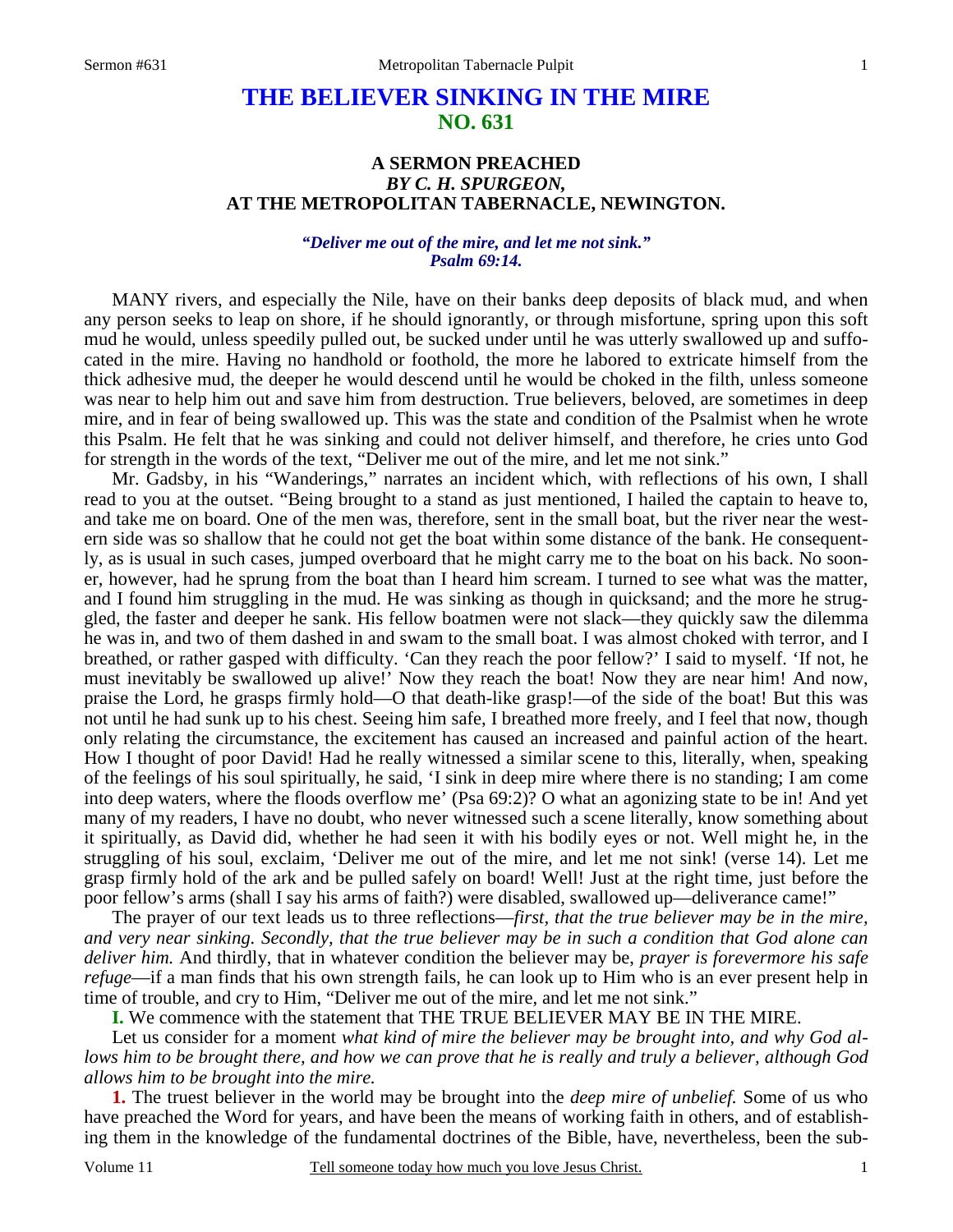## **THE BELIEVER SINKING IN THE MIRE NO. 631**

## **A SERMON PREACHED**  *BY C. H. SPURGEON,*  **AT THE METROPOLITAN TABERNACLE, NEWINGTON.**

## *"Deliver me out of the mire, and let me not sink." Psalm 69:14.*

 MANY rivers, and especially the Nile, have on their banks deep deposits of black mud, and when any person seeks to leap on shore, if he should ignorantly, or through misfortune, spring upon this soft mud he would, unless speedily pulled out, be sucked under until he was utterly swallowed up and suffocated in the mire. Having no handhold or foothold, the more he labored to extricate himself from the thick adhesive mud, the deeper he would descend until he would be choked in the filth, unless someone was near to help him out and save him from destruction. True believers, beloved, are sometimes in deep mire, and in fear of being swallowed up. This was the state and condition of the Psalmist when he wrote this Psalm. He felt that he was sinking and could not deliver himself, and therefore, he cries unto God for strength in the words of the text, "Deliver me out of the mire, and let me not sink."

 Mr. Gadsby, in his "Wanderings," narrates an incident which, with reflections of his own, I shall read to you at the outset. "Being brought to a stand as just mentioned, I hailed the captain to heave to, and take me on board. One of the men was, therefore, sent in the small boat, but the river near the western side was so shallow that he could not get the boat within some distance of the bank. He consequently, as is usual in such cases, jumped overboard that he might carry me to the boat on his back. No sooner, however, had he sprung from the boat than I heard him scream. I turned to see what was the matter, and I found him struggling in the mud. He was sinking as though in quicksand; and the more he struggled, the faster and deeper he sank. His fellow boatmen were not slack—they quickly saw the dilemma he was in, and two of them dashed in and swam to the small boat. I was almost choked with terror, and I breathed, or rather gasped with difficulty. 'Can they reach the poor fellow?' I said to myself. 'If not, he must inevitably be swallowed up alive!' Now they reach the boat! Now they are near him! And now, praise the Lord, he grasps firmly hold—O that death-like grasp!—of the side of the boat! But this was not until he had sunk up to his chest. Seeing him safe, I breathed more freely, and I feel that now, though only relating the circumstance, the excitement has caused an increased and painful action of the heart. How I thought of poor David! Had he really witnessed a similar scene to this, literally, when, speaking of the feelings of his soul spiritually, he said, 'I sink in deep mire where there is no standing; I am come into deep waters, where the floods overflow me' (Psa 69:2)? O what an agonizing state to be in! And yet many of my readers, I have no doubt, who never witnessed such a scene literally, know something about it spiritually, as David did, whether he had seen it with his bodily eyes or not. Well might he, in the struggling of his soul, exclaim, 'Deliver me out of the mire, and let me not sink! (verse 14). Let me grasp firmly hold of the ark and be pulled safely on board! Well! Just at the right time, just before the poor fellow's arms (shall I say his arms of faith?) were disabled, swallowed up—deliverance came!"

 The prayer of our text leads us to three reflections—*first, that the true believer may be in the mire, and very near sinking. Secondly, that the true believer may be in such a condition that God alone can deliver him.* And thirdly, that in whatever condition the believer may be, *prayer is forevermore his safe refuge*—if a man finds that his own strength fails, he can look up to Him who is an ever present help in time of trouble, and cry to Him, "Deliver me out of the mire, and let me not sink."

**I.** We commence with the statement that THE TRUE BELIEVER MAY BE IN THE MIRE.

 Let us consider for a moment *what kind of mire the believer may be brought into, and why God allows him to be brought there, and how we can prove that he is really and truly a believer, although God allows him to be brought into the mire.* 

**1.** The truest believer in the world may be brought into the *deep mire of unbelief.* Some of us who have preached the Word for years, and have been the means of working faith in others, and of establishing them in the knowledge of the fundamental doctrines of the Bible, have, nevertheless, been the sub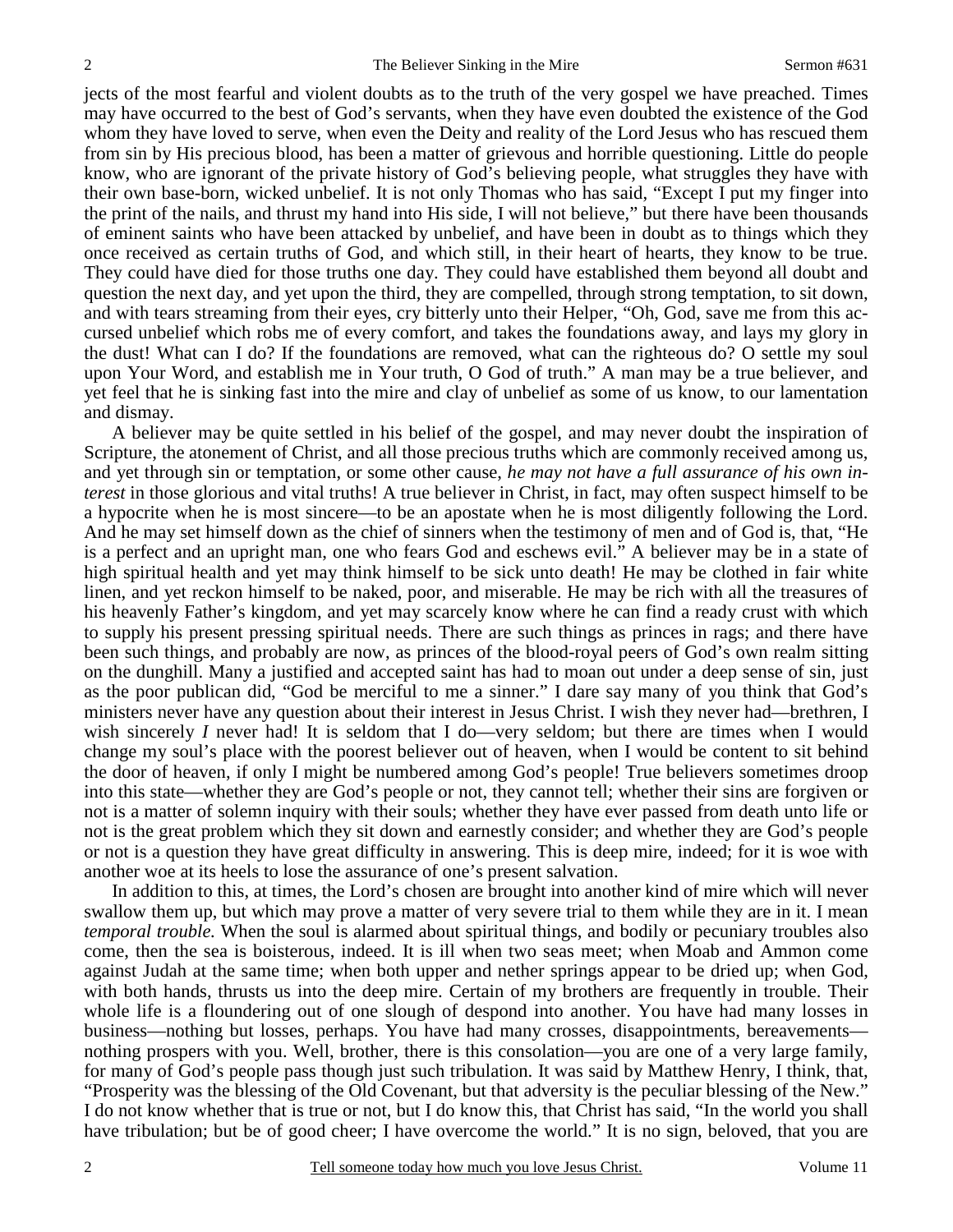jects of the most fearful and violent doubts as to the truth of the very gospel we have preached. Times may have occurred to the best of God's servants, when they have even doubted the existence of the God whom they have loved to serve, when even the Deity and reality of the Lord Jesus who has rescued them from sin by His precious blood, has been a matter of grievous and horrible questioning. Little do people know, who are ignorant of the private history of God's believing people, what struggles they have with their own base-born, wicked unbelief. It is not only Thomas who has said, "Except I put my finger into the print of the nails, and thrust my hand into His side, I will not believe," but there have been thousands of eminent saints who have been attacked by unbelief, and have been in doubt as to things which they once received as certain truths of God, and which still, in their heart of hearts, they know to be true. They could have died for those truths one day. They could have established them beyond all doubt and question the next day, and yet upon the third, they are compelled, through strong temptation, to sit down, and with tears streaming from their eyes, cry bitterly unto their Helper, "Oh, God, save me from this accursed unbelief which robs me of every comfort, and takes the foundations away, and lays my glory in the dust! What can I do? If the foundations are removed, what can the righteous do? O settle my soul upon Your Word, and establish me in Your truth, O God of truth." A man may be a true believer, and yet feel that he is sinking fast into the mire and clay of unbelief as some of us know, to our lamentation and dismay.

 A believer may be quite settled in his belief of the gospel, and may never doubt the inspiration of Scripture, the atonement of Christ, and all those precious truths which are commonly received among us, and yet through sin or temptation, or some other cause, *he may not have a full assurance of his own interest* in those glorious and vital truths! A true believer in Christ, in fact, may often suspect himself to be a hypocrite when he is most sincere—to be an apostate when he is most diligently following the Lord. And he may set himself down as the chief of sinners when the testimony of men and of God is, that, "He is a perfect and an upright man, one who fears God and eschews evil." A believer may be in a state of high spiritual health and yet may think himself to be sick unto death! He may be clothed in fair white linen, and yet reckon himself to be naked, poor, and miserable. He may be rich with all the treasures of his heavenly Father's kingdom, and yet may scarcely know where he can find a ready crust with which to supply his present pressing spiritual needs. There are such things as princes in rags; and there have been such things, and probably are now, as princes of the blood-royal peers of God's own realm sitting on the dunghill. Many a justified and accepted saint has had to moan out under a deep sense of sin, just as the poor publican did, "God be merciful to me a sinner." I dare say many of you think that God's ministers never have any question about their interest in Jesus Christ. I wish they never had—brethren, I wish sincerely *I* never had! It is seldom that I do—very seldom; but there are times when I would change my soul's place with the poorest believer out of heaven, when I would be content to sit behind the door of heaven, if only I might be numbered among God's people! True believers sometimes droop into this state—whether they are God's people or not, they cannot tell; whether their sins are forgiven or not is a matter of solemn inquiry with their souls; whether they have ever passed from death unto life or not is the great problem which they sit down and earnestly consider; and whether they are God's people or not is a question they have great difficulty in answering. This is deep mire, indeed; for it is woe with another woe at its heels to lose the assurance of one's present salvation.

 In addition to this, at times, the Lord's chosen are brought into another kind of mire which will never swallow them up, but which may prove a matter of very severe trial to them while they are in it. I mean *temporal trouble.* When the soul is alarmed about spiritual things, and bodily or pecuniary troubles also come, then the sea is boisterous, indeed. It is ill when two seas meet; when Moab and Ammon come against Judah at the same time; when both upper and nether springs appear to be dried up; when God, with both hands, thrusts us into the deep mire. Certain of my brothers are frequently in trouble. Their whole life is a floundering out of one slough of despond into another. You have had many losses in business—nothing but losses, perhaps. You have had many crosses, disappointments, bereavements nothing prospers with you. Well, brother, there is this consolation—you are one of a very large family, for many of God's people pass though just such tribulation. It was said by Matthew Henry, I think, that, "Prosperity was the blessing of the Old Covenant, but that adversity is the peculiar blessing of the New." I do not know whether that is true or not, but I do know this, that Christ has said, "In the world you shall have tribulation; but be of good cheer; I have overcome the world." It is no sign, beloved, that you are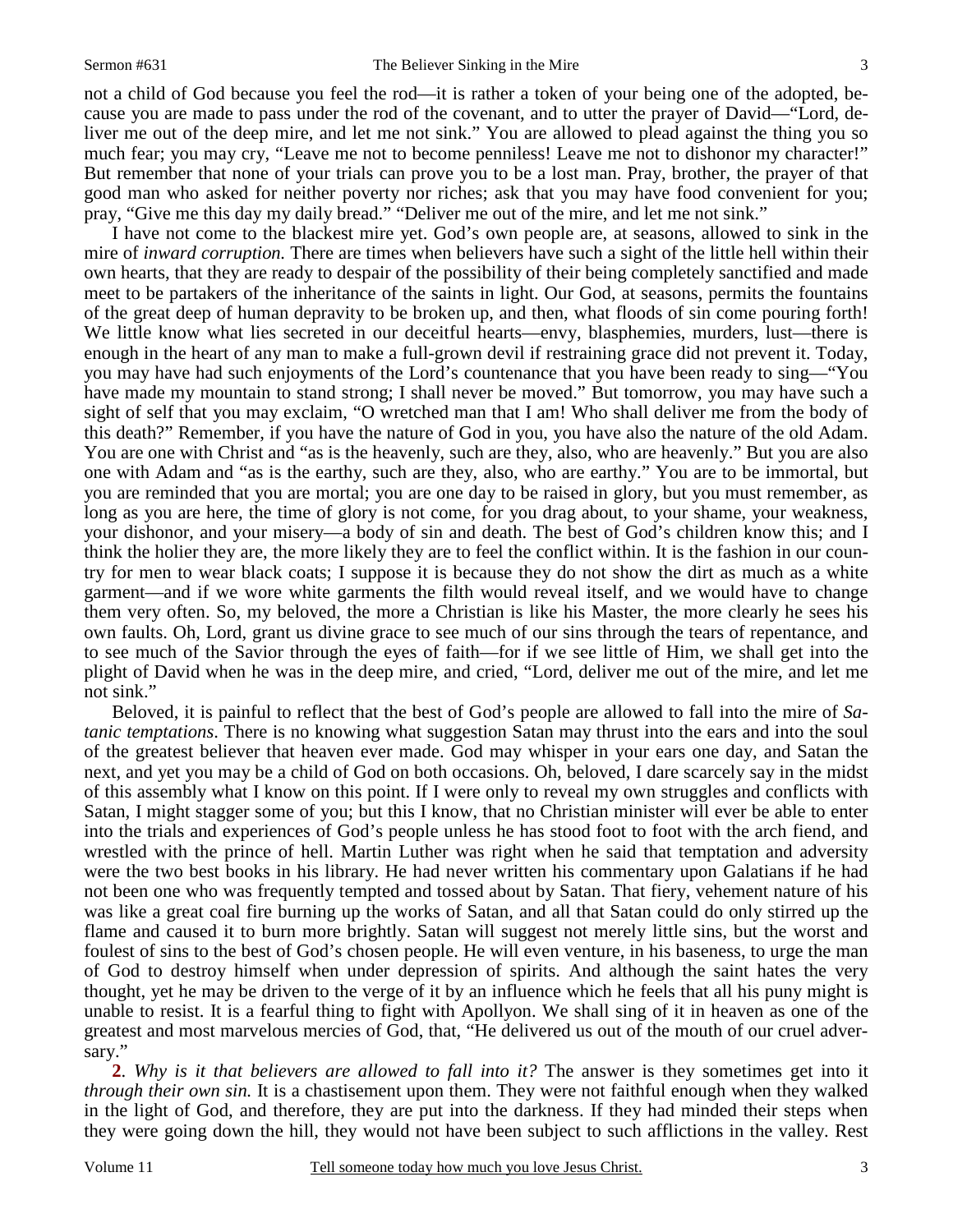not a child of God because you feel the rod—it is rather a token of your being one of the adopted, because you are made to pass under the rod of the covenant, and to utter the prayer of David—"Lord, deliver me out of the deep mire, and let me not sink." You are allowed to plead against the thing you so much fear; you may cry, "Leave me not to become penniless! Leave me not to dishonor my character!" But remember that none of your trials can prove you to be a lost man. Pray, brother, the prayer of that good man who asked for neither poverty nor riches; ask that you may have food convenient for you; pray, "Give me this day my daily bread." "Deliver me out of the mire, and let me not sink."

 I have not come to the blackest mire yet. God's own people are, at seasons, allowed to sink in the mire of *inward corruption.* There are times when believers have such a sight of the little hell within their own hearts, that they are ready to despair of the possibility of their being completely sanctified and made meet to be partakers of the inheritance of the saints in light. Our God, at seasons, permits the fountains of the great deep of human depravity to be broken up, and then, what floods of sin come pouring forth! We little know what lies secreted in our deceitful hearts—envy, blasphemies, murders, lust—there is enough in the heart of any man to make a full-grown devil if restraining grace did not prevent it. Today, you may have had such enjoyments of the Lord's countenance that you have been ready to sing—"You have made my mountain to stand strong; I shall never be moved." But tomorrow, you may have such a sight of self that you may exclaim, "O wretched man that I am! Who shall deliver me from the body of this death?" Remember, if you have the nature of God in you, you have also the nature of the old Adam. You are one with Christ and "as is the heavenly, such are they, also, who are heavenly." But you are also one with Adam and "as is the earthy, such are they, also, who are earthy." You are to be immortal, but you are reminded that you are mortal; you are one day to be raised in glory, but you must remember, as long as you are here, the time of glory is not come, for you drag about, to your shame, your weakness, your dishonor, and your misery—a body of sin and death. The best of God's children know this; and I think the holier they are, the more likely they are to feel the conflict within. It is the fashion in our country for men to wear black coats; I suppose it is because they do not show the dirt as much as a white garment—and if we wore white garments the filth would reveal itself, and we would have to change them very often. So, my beloved, the more a Christian is like his Master, the more clearly he sees his own faults. Oh, Lord, grant us divine grace to see much of our sins through the tears of repentance, and to see much of the Savior through the eyes of faith—for if we see little of Him, we shall get into the plight of David when he was in the deep mire, and cried, "Lord, deliver me out of the mire, and let me not sink."

 Beloved, it is painful to reflect that the best of God's people are allowed to fall into the mire of *Satanic temptations*. There is no knowing what suggestion Satan may thrust into the ears and into the soul of the greatest believer that heaven ever made. God may whisper in your ears one day, and Satan the next, and yet you may be a child of God on both occasions. Oh, beloved, I dare scarcely say in the midst of this assembly what I know on this point. If I were only to reveal my own struggles and conflicts with Satan, I might stagger some of you; but this I know, that no Christian minister will ever be able to enter into the trials and experiences of God's people unless he has stood foot to foot with the arch fiend, and wrestled with the prince of hell. Martin Luther was right when he said that temptation and adversity were the two best books in his library. He had never written his commentary upon Galatians if he had not been one who was frequently tempted and tossed about by Satan. That fiery, vehement nature of his was like a great coal fire burning up the works of Satan, and all that Satan could do only stirred up the flame and caused it to burn more brightly. Satan will suggest not merely little sins, but the worst and foulest of sins to the best of God's chosen people. He will even venture, in his baseness, to urge the man of God to destroy himself when under depression of spirits. And although the saint hates the very thought, yet he may be driven to the verge of it by an influence which he feels that all his puny might is unable to resist. It is a fearful thing to fight with Apollyon. We shall sing of it in heaven as one of the greatest and most marvelous mercies of God, that, "He delivered us out of the mouth of our cruel adversary."

**2**. *Why is it that believers are allowed to fall into it?* The answer is they sometimes get into it *through their own sin.* It is a chastisement upon them. They were not faithful enough when they walked in the light of God, and therefore, they are put into the darkness. If they had minded their steps when they were going down the hill, they would not have been subject to such afflictions in the valley. Rest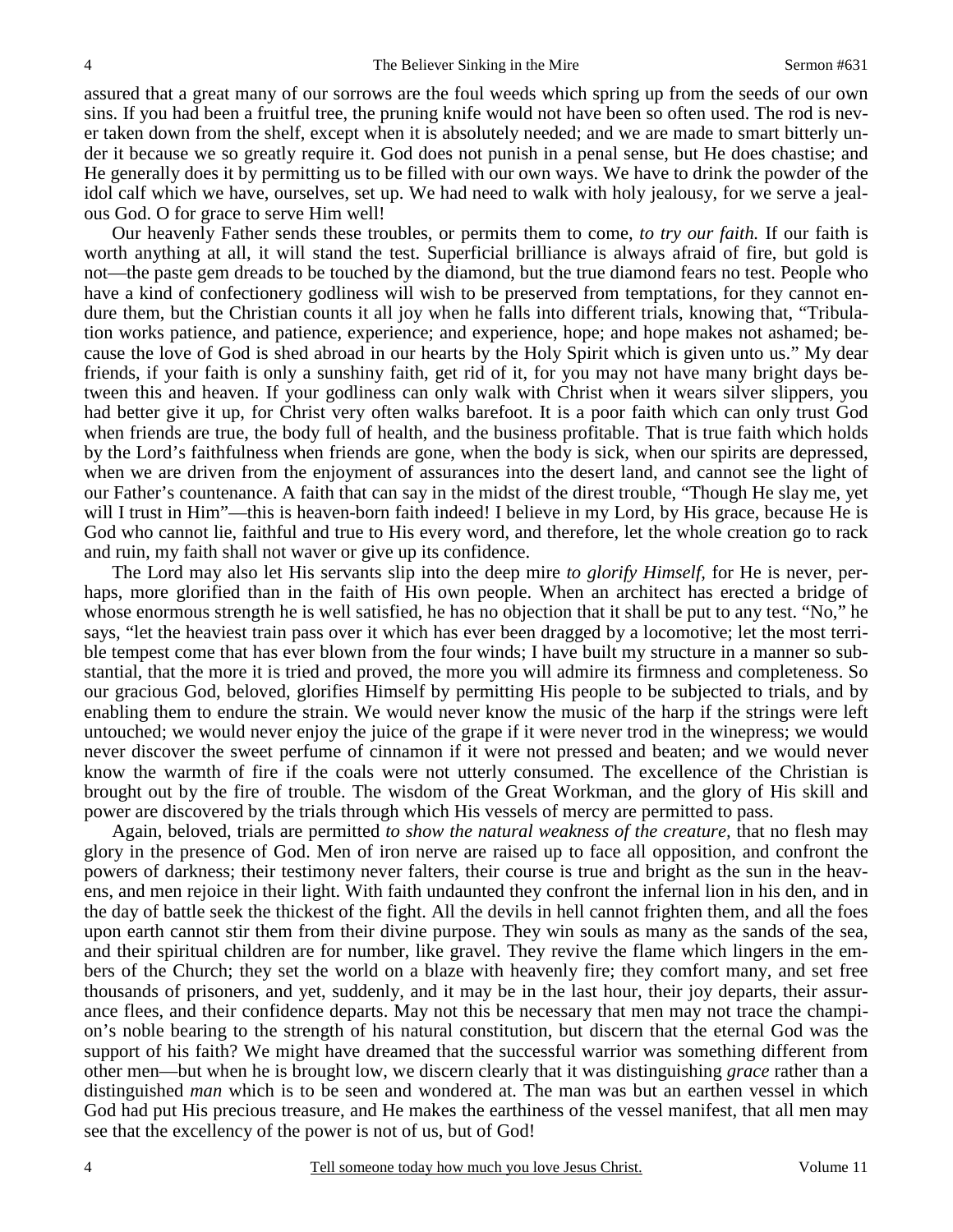assured that a great many of our sorrows are the foul weeds which spring up from the seeds of our own sins. If you had been a fruitful tree, the pruning knife would not have been so often used. The rod is never taken down from the shelf, except when it is absolutely needed; and we are made to smart bitterly under it because we so greatly require it. God does not punish in a penal sense, but He does chastise; and He generally does it by permitting us to be filled with our own ways. We have to drink the powder of the idol calf which we have, ourselves, set up. We had need to walk with holy jealousy, for we serve a jealous God. O for grace to serve Him well!

 Our heavenly Father sends these troubles, or permits them to come, *to try our faith.* If our faith is worth anything at all, it will stand the test. Superficial brilliance is always afraid of fire, but gold is not—the paste gem dreads to be touched by the diamond, but the true diamond fears no test. People who have a kind of confectionery godliness will wish to be preserved from temptations, for they cannot endure them, but the Christian counts it all joy when he falls into different trials, knowing that, "Tribulation works patience, and patience, experience; and experience, hope; and hope makes not ashamed; because the love of God is shed abroad in our hearts by the Holy Spirit which is given unto us." My dear friends, if your faith is only a sunshiny faith, get rid of it, for you may not have many bright days between this and heaven. If your godliness can only walk with Christ when it wears silver slippers, you had better give it up, for Christ very often walks barefoot. It is a poor faith which can only trust God when friends are true, the body full of health, and the business profitable. That is true faith which holds by the Lord's faithfulness when friends are gone, when the body is sick, when our spirits are depressed, when we are driven from the enjoyment of assurances into the desert land, and cannot see the light of our Father's countenance. A faith that can say in the midst of the direst trouble, "Though He slay me, yet will I trust in Him"—this is heaven-born faith indeed! I believe in my Lord, by His grace, because He is God who cannot lie, faithful and true to His every word, and therefore, let the whole creation go to rack and ruin, my faith shall not waver or give up its confidence.

 The Lord may also let His servants slip into the deep mire *to glorify Himself,* for He is never, perhaps, more glorified than in the faith of His own people. When an architect has erected a bridge of whose enormous strength he is well satisfied, he has no objection that it shall be put to any test. "No," he says, "let the heaviest train pass over it which has ever been dragged by a locomotive; let the most terrible tempest come that has ever blown from the four winds; I have built my structure in a manner so substantial, that the more it is tried and proved, the more you will admire its firmness and completeness. So our gracious God, beloved, glorifies Himself by permitting His people to be subjected to trials, and by enabling them to endure the strain. We would never know the music of the harp if the strings were left untouched; we would never enjoy the juice of the grape if it were never trod in the winepress; we would never discover the sweet perfume of cinnamon if it were not pressed and beaten; and we would never know the warmth of fire if the coals were not utterly consumed. The excellence of the Christian is brought out by the fire of trouble. The wisdom of the Great Workman, and the glory of His skill and power are discovered by the trials through which His vessels of mercy are permitted to pass.

 Again, beloved, trials are permitted *to show the natural weakness of the creature,* that no flesh may glory in the presence of God. Men of iron nerve are raised up to face all opposition, and confront the powers of darkness; their testimony never falters, their course is true and bright as the sun in the heavens, and men rejoice in their light. With faith undaunted they confront the infernal lion in his den, and in the day of battle seek the thickest of the fight. All the devils in hell cannot frighten them, and all the foes upon earth cannot stir them from their divine purpose. They win souls as many as the sands of the sea, and their spiritual children are for number, like gravel. They revive the flame which lingers in the embers of the Church; they set the world on a blaze with heavenly fire; they comfort many, and set free thousands of prisoners, and yet, suddenly, and it may be in the last hour, their joy departs, their assurance flees, and their confidence departs. May not this be necessary that men may not trace the champion's noble bearing to the strength of his natural constitution, but discern that the eternal God was the support of his faith? We might have dreamed that the successful warrior was something different from other men—but when he is brought low, we discern clearly that it was distinguishing *grace* rather than a distinguished *man* which is to be seen and wondered at. The man was but an earthen vessel in which God had put His precious treasure, and He makes the earthiness of the vessel manifest, that all men may see that the excellency of the power is not of us, but of God!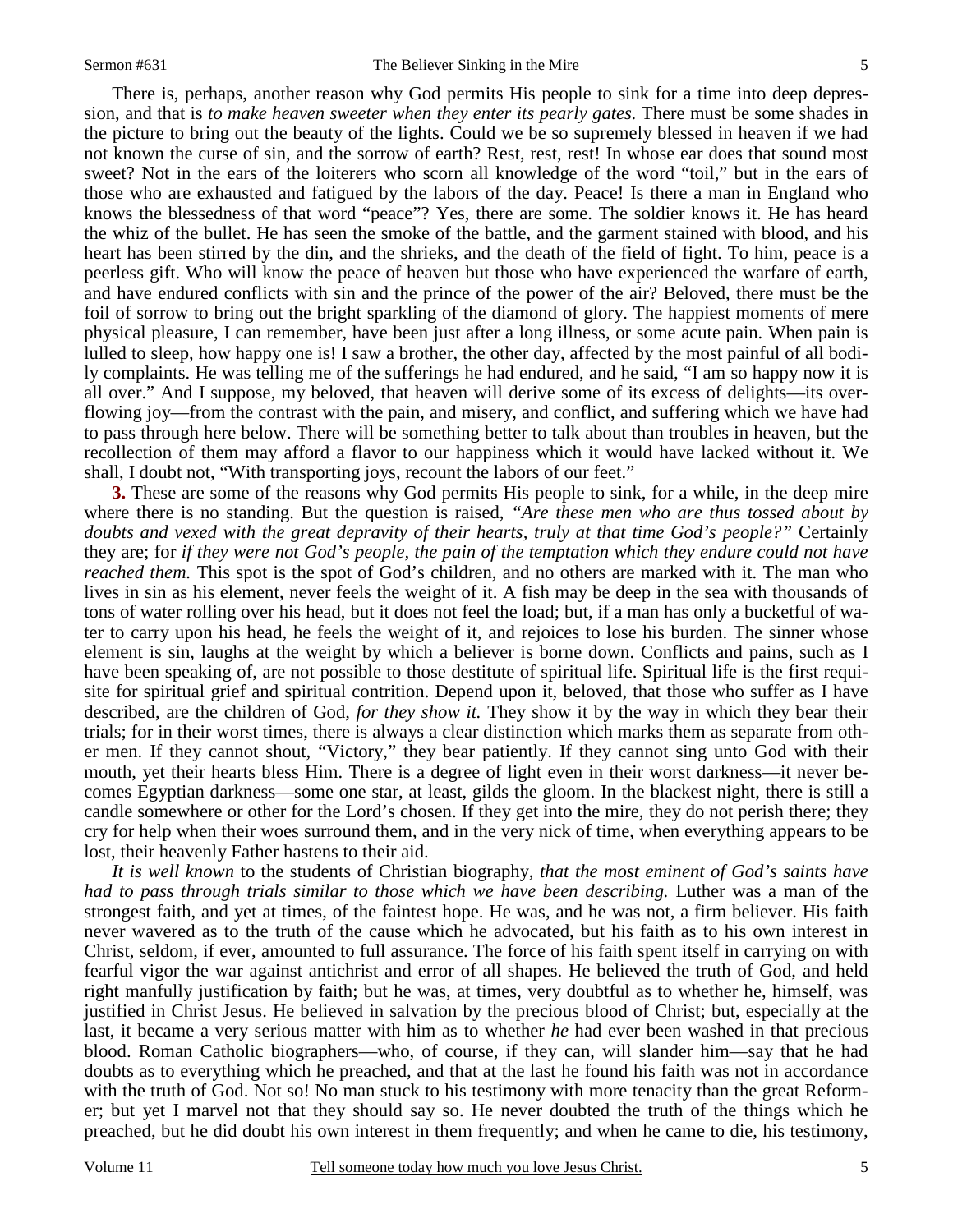There is, perhaps, another reason why God permits His people to sink for a time into deep depression, and that is *to make heaven sweeter when they enter its pearly gates.* There must be some shades in the picture to bring out the beauty of the lights. Could we be so supremely blessed in heaven if we had not known the curse of sin, and the sorrow of earth? Rest, rest, rest! In whose ear does that sound most sweet? Not in the ears of the loiterers who scorn all knowledge of the word "toil," but in the ears of those who are exhausted and fatigued by the labors of the day. Peace! Is there a man in England who knows the blessedness of that word "peace"? Yes, there are some. The soldier knows it. He has heard the whiz of the bullet. He has seen the smoke of the battle, and the garment stained with blood, and his heart has been stirred by the din, and the shrieks, and the death of the field of fight. To him, peace is a peerless gift. Who will know the peace of heaven but those who have experienced the warfare of earth, and have endured conflicts with sin and the prince of the power of the air? Beloved, there must be the foil of sorrow to bring out the bright sparkling of the diamond of glory. The happiest moments of mere physical pleasure, I can remember, have been just after a long illness, or some acute pain. When pain is lulled to sleep, how happy one is! I saw a brother, the other day, affected by the most painful of all bodily complaints. He was telling me of the sufferings he had endured, and he said, "I am so happy now it is all over." And I suppose, my beloved, that heaven will derive some of its excess of delights—its overflowing joy—from the contrast with the pain, and misery, and conflict, and suffering which we have had to pass through here below. There will be something better to talk about than troubles in heaven, but the recollection of them may afford a flavor to our happiness which it would have lacked without it. We shall, I doubt not, "With transporting joys, recount the labors of our feet."

**3.** These are some of the reasons why God permits His people to sink, for a while, in the deep mire where there is no standing. But the question is raised, *"Are these men who are thus tossed about by doubts and vexed with the great depravity of their hearts, truly at that time God's people?"* Certainly they are; for *if they were not God's people, the pain of the temptation which they endure could not have reached them.* This spot is the spot of God's children, and no others are marked with it. The man who lives in sin as his element, never feels the weight of it. A fish may be deep in the sea with thousands of tons of water rolling over his head, but it does not feel the load; but, if a man has only a bucketful of water to carry upon his head, he feels the weight of it, and rejoices to lose his burden. The sinner whose element is sin, laughs at the weight by which a believer is borne down. Conflicts and pains, such as I have been speaking of, are not possible to those destitute of spiritual life. Spiritual life is the first requisite for spiritual grief and spiritual contrition. Depend upon it, beloved, that those who suffer as I have described, are the children of God*, for they show it.* They show it by the way in which they bear their trials; for in their worst times, there is always a clear distinction which marks them as separate from other men. If they cannot shout, "Victory," they bear patiently. If they cannot sing unto God with their mouth, yet their hearts bless Him. There is a degree of light even in their worst darkness—it never becomes Egyptian darkness—some one star, at least, gilds the gloom. In the blackest night, there is still a candle somewhere or other for the Lord's chosen. If they get into the mire, they do not perish there; they cry for help when their woes surround them, and in the very nick of time, when everything appears to be lost, their heavenly Father hastens to their aid.

*It is well known* to the students of Christian biography, *that the most eminent of God's saints have had to pass through trials similar to those which we have been describing.* Luther was a man of the strongest faith, and yet at times, of the faintest hope. He was, and he was not, a firm believer. His faith never wavered as to the truth of the cause which he advocated, but his faith as to his own interest in Christ, seldom, if ever, amounted to full assurance. The force of his faith spent itself in carrying on with fearful vigor the war against antichrist and error of all shapes. He believed the truth of God, and held right manfully justification by faith; but he was, at times, very doubtful as to whether he, himself, was justified in Christ Jesus. He believed in salvation by the precious blood of Christ; but, especially at the last, it became a very serious matter with him as to whether *he* had ever been washed in that precious blood. Roman Catholic biographers—who, of course, if they can, will slander him—say that he had doubts as to everything which he preached, and that at the last he found his faith was not in accordance with the truth of God. Not so! No man stuck to his testimony with more tenacity than the great Reformer; but yet I marvel not that they should say so. He never doubted the truth of the things which he preached, but he did doubt his own interest in them frequently; and when he came to die, his testimony,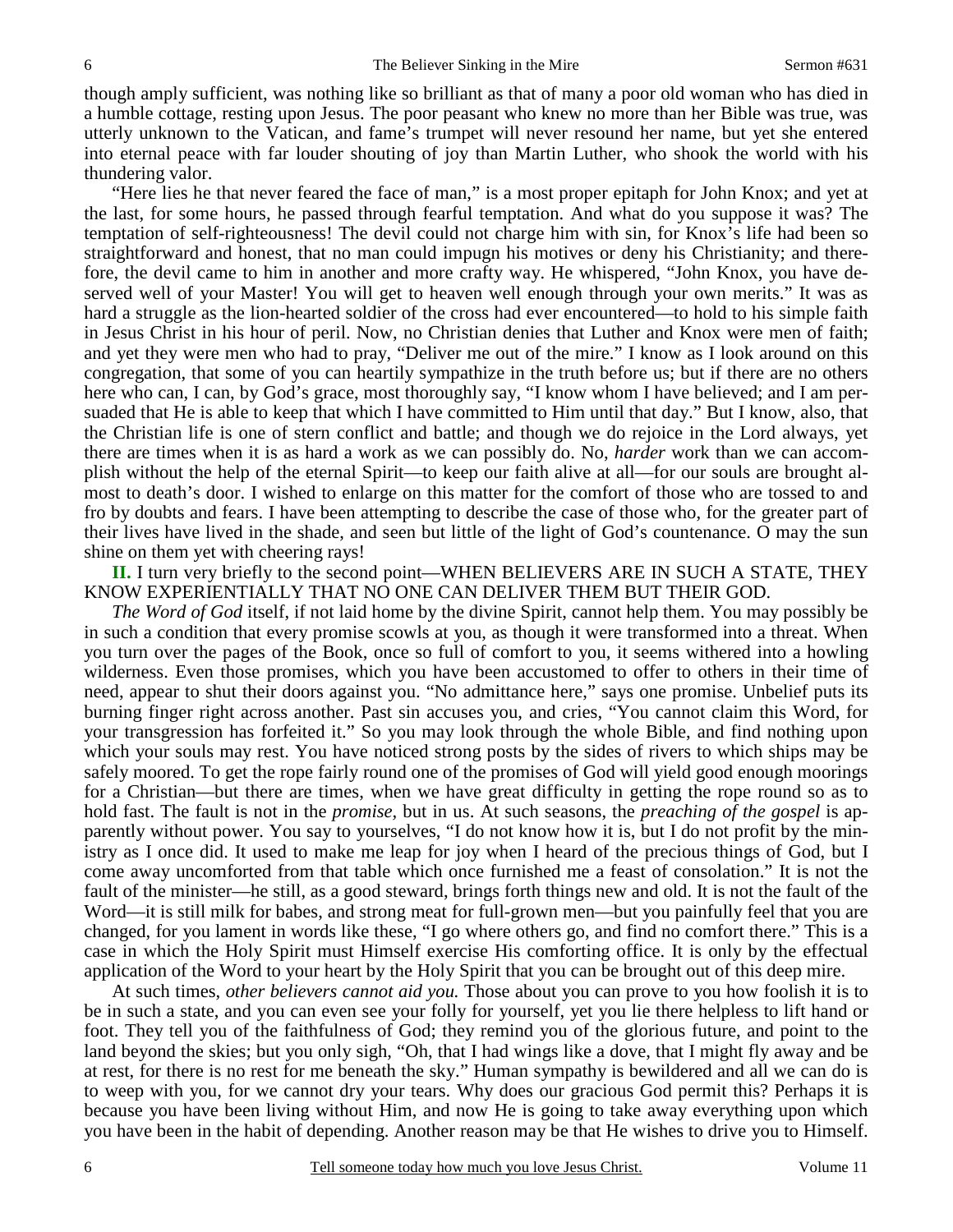though amply sufficient, was nothing like so brilliant as that of many a poor old woman who has died in a humble cottage, resting upon Jesus. The poor peasant who knew no more than her Bible was true, was utterly unknown to the Vatican, and fame's trumpet will never resound her name, but yet she entered into eternal peace with far louder shouting of joy than Martin Luther, who shook the world with his thundering valor.

 "Here lies he that never feared the face of man," is a most proper epitaph for John Knox; and yet at the last, for some hours, he passed through fearful temptation. And what do you suppose it was? The temptation of self-righteousness! The devil could not charge him with sin, for Knox's life had been so straightforward and honest, that no man could impugn his motives or deny his Christianity; and therefore, the devil came to him in another and more crafty way. He whispered, "John Knox, you have deserved well of your Master! You will get to heaven well enough through your own merits." It was as hard a struggle as the lion-hearted soldier of the cross had ever encountered—to hold to his simple faith in Jesus Christ in his hour of peril. Now, no Christian denies that Luther and Knox were men of faith; and yet they were men who had to pray, "Deliver me out of the mire." I know as I look around on this congregation, that some of you can heartily sympathize in the truth before us; but if there are no others here who can, I can, by God's grace, most thoroughly say, "I know whom I have believed; and I am persuaded that He is able to keep that which I have committed to Him until that day." But I know, also, that the Christian life is one of stern conflict and battle; and though we do rejoice in the Lord always, yet there are times when it is as hard a work as we can possibly do. No, *harder* work than we can accomplish without the help of the eternal Spirit—to keep our faith alive at all—for our souls are brought almost to death's door. I wished to enlarge on this matter for the comfort of those who are tossed to and fro by doubts and fears. I have been attempting to describe the case of those who, for the greater part of their lives have lived in the shade, and seen but little of the light of God's countenance. O may the sun shine on them yet with cheering rays!

**II.** I turn very briefly to the second point—WHEN BELIEVERS ARE IN SUCH A STATE, THEY KNOW EXPERIENTIALLY THAT NO ONE CAN DELIVER THEM BUT THEIR GOD.

*The Word of God* itself, if not laid home by the divine Spirit, cannot help them. You may possibly be in such a condition that every promise scowls at you, as though it were transformed into a threat. When you turn over the pages of the Book, once so full of comfort to you, it seems withered into a howling wilderness. Even those promises, which you have been accustomed to offer to others in their time of need, appear to shut their doors against you. "No admittance here," says one promise. Unbelief puts its burning finger right across another. Past sin accuses you, and cries, "You cannot claim this Word, for your transgression has forfeited it." So you may look through the whole Bible, and find nothing upon which your souls may rest. You have noticed strong posts by the sides of rivers to which ships may be safely moored. To get the rope fairly round one of the promises of God will yield good enough moorings for a Christian—but there are times, when we have great difficulty in getting the rope round so as to hold fast. The fault is not in the *promise,* but in us. At such seasons, the *preaching of the gospel* is apparently without power. You say to yourselves, "I do not know how it is, but I do not profit by the ministry as I once did. It used to make me leap for joy when I heard of the precious things of God, but I come away uncomforted from that table which once furnished me a feast of consolation." It is not the fault of the minister—he still, as a good steward, brings forth things new and old. It is not the fault of the Word—it is still milk for babes, and strong meat for full-grown men—but you painfully feel that you are changed, for you lament in words like these, "I go where others go, and find no comfort there." This is a case in which the Holy Spirit must Himself exercise His comforting office. It is only by the effectual application of the Word to your heart by the Holy Spirit that you can be brought out of this deep mire.

 At such times, *other believers cannot aid you.* Those about you can prove to you how foolish it is to be in such a state, and you can even see your folly for yourself, yet you lie there helpless to lift hand or foot. They tell you of the faithfulness of God; they remind you of the glorious future, and point to the land beyond the skies; but you only sigh, "Oh, that I had wings like a dove, that I might fly away and be at rest, for there is no rest for me beneath the sky." Human sympathy is bewildered and all we can do is to weep with you, for we cannot dry your tears. Why does our gracious God permit this? Perhaps it is because you have been living without Him, and now He is going to take away everything upon which you have been in the habit of depending. Another reason may be that He wishes to drive you to Himself.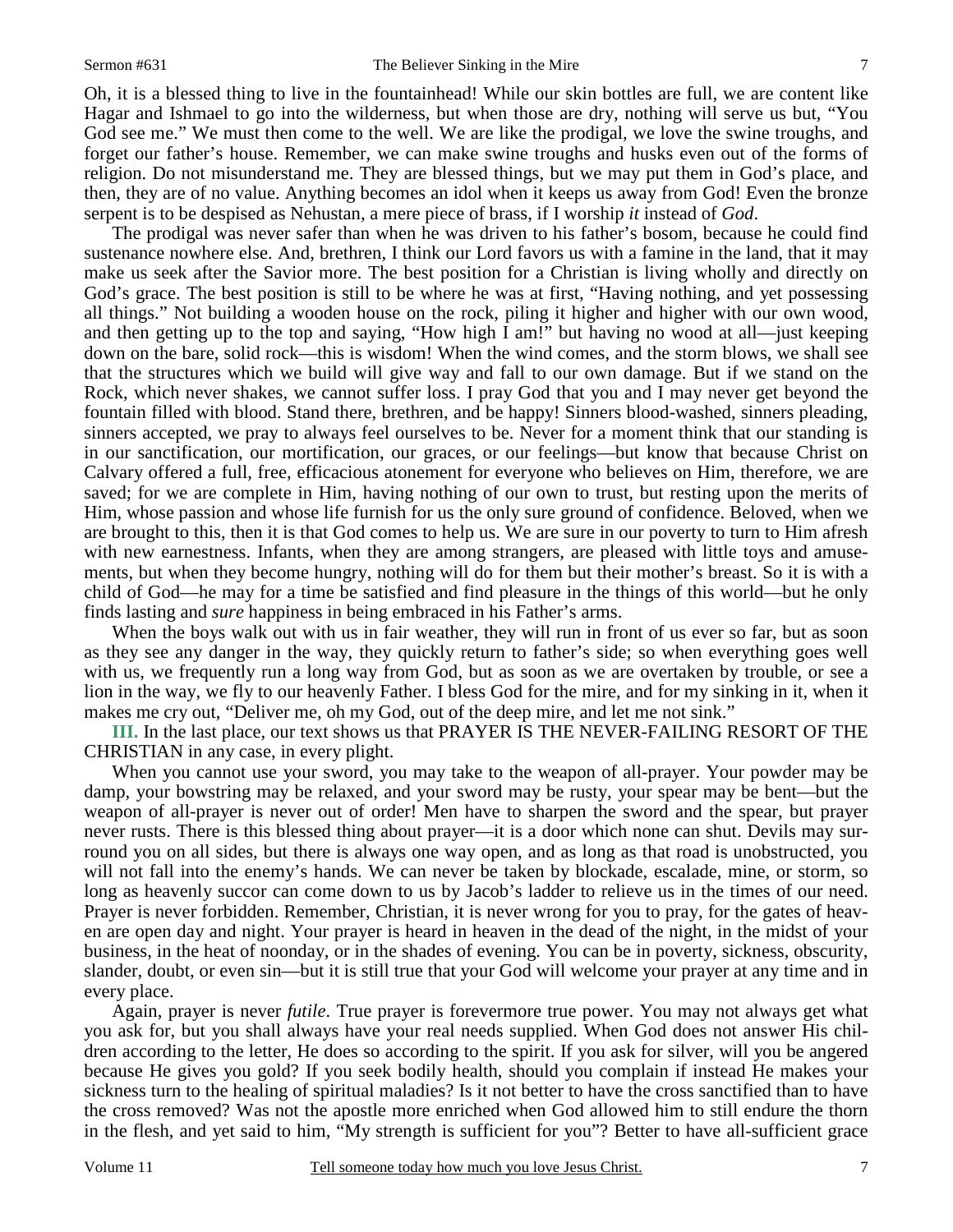Oh, it is a blessed thing to live in the fountainhead! While our skin bottles are full, we are content like Hagar and Ishmael to go into the wilderness, but when those are dry, nothing will serve us but, "You God see me." We must then come to the well. We are like the prodigal, we love the swine troughs, and forget our father's house. Remember, we can make swine troughs and husks even out of the forms of religion. Do not misunderstand me. They are blessed things, but we may put them in God's place, and then, they are of no value. Anything becomes an idol when it keeps us away from God! Even the bronze serpent is to be despised as Nehustan, a mere piece of brass, if I worship *it* instead of *God*.

 The prodigal was never safer than when he was driven to his father's bosom, because he could find sustenance nowhere else. And, brethren, I think our Lord favors us with a famine in the land, that it may make us seek after the Savior more. The best position for a Christian is living wholly and directly on God's grace. The best position is still to be where he was at first, "Having nothing, and yet possessing all things." Not building a wooden house on the rock, piling it higher and higher with our own wood, and then getting up to the top and saying, "How high I am!" but having no wood at all—just keeping down on the bare, solid rock—this is wisdom! When the wind comes, and the storm blows, we shall see that the structures which we build will give way and fall to our own damage. But if we stand on the Rock, which never shakes, we cannot suffer loss. I pray God that you and I may never get beyond the fountain filled with blood. Stand there, brethren, and be happy! Sinners blood-washed, sinners pleading, sinners accepted, we pray to always feel ourselves to be. Never for a moment think that our standing is in our sanctification, our mortification, our graces, or our feelings—but know that because Christ on Calvary offered a full, free, efficacious atonement for everyone who believes on Him, therefore, we are saved; for we are complete in Him, having nothing of our own to trust, but resting upon the merits of Him, whose passion and whose life furnish for us the only sure ground of confidence. Beloved, when we are brought to this, then it is that God comes to help us. We are sure in our poverty to turn to Him afresh with new earnestness. Infants, when they are among strangers, are pleased with little toys and amusements, but when they become hungry, nothing will do for them but their mother's breast. So it is with a child of God—he may for a time be satisfied and find pleasure in the things of this world—but he only finds lasting and *sure* happiness in being embraced in his Father's arms.

 When the boys walk out with us in fair weather, they will run in front of us ever so far, but as soon as they see any danger in the way, they quickly return to father's side; so when everything goes well with us, we frequently run a long way from God, but as soon as we are overtaken by trouble, or see a lion in the way, we fly to our heavenly Father. I bless God for the mire, and for my sinking in it, when it makes me cry out, "Deliver me, oh my God, out of the deep mire, and let me not sink."

**III.** In the last place, our text shows us that PRAYER IS THE NEVER-FAILING RESORT OF THE CHRISTIAN in any case, in every plight.

 When you cannot use your sword, you may take to the weapon of all-prayer. Your powder may be damp, your bowstring may be relaxed, and your sword may be rusty, your spear may be bent—but the weapon of all-prayer is never out of order! Men have to sharpen the sword and the spear, but prayer never rusts. There is this blessed thing about prayer—it is a door which none can shut. Devils may surround you on all sides, but there is always one way open, and as long as that road is unobstructed, you will not fall into the enemy's hands. We can never be taken by blockade, escalade, mine, or storm, so long as heavenly succor can come down to us by Jacob's ladder to relieve us in the times of our need. Prayer is never forbidden. Remember, Christian, it is never wrong for you to pray, for the gates of heaven are open day and night. Your prayer is heard in heaven in the dead of the night, in the midst of your business, in the heat of noonday, or in the shades of evening. You can be in poverty, sickness, obscurity, slander, doubt, or even sin—but it is still true that your God will welcome your prayer at any time and in every place.

 Again, prayer is never *futile*. True prayer is forevermore true power. You may not always get what you ask for, but you shall always have your real needs supplied. When God does not answer His children according to the letter, He does so according to the spirit. If you ask for silver, will you be angered because He gives you gold? If you seek bodily health, should you complain if instead He makes your sickness turn to the healing of spiritual maladies? Is it not better to have the cross sanctified than to have the cross removed? Was not the apostle more enriched when God allowed him to still endure the thorn in the flesh, and yet said to him, "My strength is sufficient for you"? Better to have all-sufficient grace